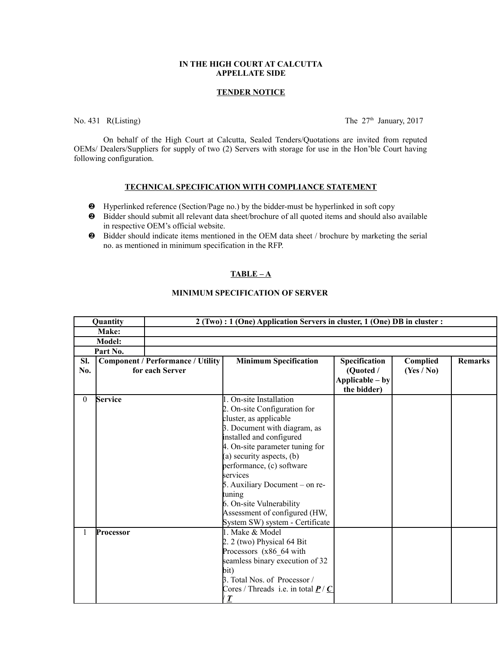# **IN THE HIGH COURT AT CALCUTTA APPELLATE SIDE**

#### **TENDER NOTICE**

No. 431 R(Listing) The  $27<sup>th</sup>$  January, 2017

On behalf of the High Court at Calcutta, Sealed Tenders/Quotations are invited from reputed OEMs/ Dealers/Suppliers for supply of two (2) Servers with storage for use in the Hon'ble Court having following configuration.

#### **TECHNICAL SPECIFICATION WITH COMPLIANCE STATEMENT**

- Hyperlinked reference (Section/Page no.) by the bidder-must be hyperlinked in soft copy
- Bidder should submit all relevant data sheet/brochure of all quoted items and should also available in respective OEM's official website.
- Bidder should indicate items mentioned in the OEM data sheet / brochure by marketing the serial no. as mentioned in minimum specification in the RFP.

# **TABLE – A**

# **MINIMUM SPECIFICATION OF SERVER**

|          | Quantity       | 2 (Two) : 1 (One) Application Servers in cluster, 1 (One) DB in cluster : |                                                                                                                                                                                                                                                                                                                                                                   |                                             |            |                |
|----------|----------------|---------------------------------------------------------------------------|-------------------------------------------------------------------------------------------------------------------------------------------------------------------------------------------------------------------------------------------------------------------------------------------------------------------------------------------------------------------|---------------------------------------------|------------|----------------|
|          | Make:          |                                                                           |                                                                                                                                                                                                                                                                                                                                                                   |                                             |            |                |
|          | <b>Model:</b>  |                                                                           |                                                                                                                                                                                                                                                                                                                                                                   |                                             |            |                |
| Part No. |                |                                                                           |                                                                                                                                                                                                                                                                                                                                                                   |                                             |            |                |
| Sl.      |                | <b>Component / Performance / Utility</b>                                  | <b>Minimum Specification</b>                                                                                                                                                                                                                                                                                                                                      | Specification                               | Complied   | <b>Remarks</b> |
| No.      |                | for each Server                                                           |                                                                                                                                                                                                                                                                                                                                                                   | (Quoted /<br>Applicable – by<br>the bidder) | (Yes / No) |                |
| $\theta$ | <b>Service</b> |                                                                           | 1. On-site Installation<br>2. On-site Configuration for<br>cluster, as applicable<br>3. Document with diagram, as<br>installed and configured<br>4. On-site parameter tuning for<br>(a) security aspects, $(b)$<br>performance, (c) software<br>services<br>5. Auxiliary Document – on re-<br>tuning<br>6. On-site Vulnerability<br>Assessment of configured (HW, |                                             |            |                |
|          | Processor      |                                                                           | System SW) system - Certificate<br>1. Make & Model                                                                                                                                                                                                                                                                                                                |                                             |            |                |
|          |                |                                                                           | 2. 2 (two) Physical $64$ Bit<br>Processors (x86_64 with<br>seamless binary execution of 32<br>bit)<br>3. Total Nos. of Processor /<br>Cores / Threads i.e. in total $\underline{P}$ / $\underline{C}$<br>$\boldsymbol{\mathcal{I}}$                                                                                                                               |                                             |            |                |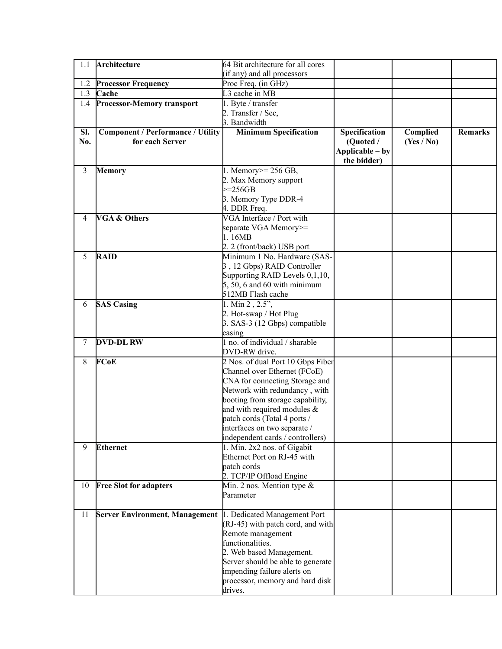| 1.1 | Architecture                             | 64 Bit architecture for all cores       |                 |            |                |
|-----|------------------------------------------|-----------------------------------------|-----------------|------------|----------------|
|     |                                          | (if any) and all processors             |                 |            |                |
| 1.2 | <b>Processor Frequency</b>               | Proc Freq. (in GHz)                     |                 |            |                |
| 1.3 | Cache                                    | L3 cache in MB                          |                 |            |                |
| 1.4 | <b>Processor-Memory transport</b>        | 1. Byte / transfer                      |                 |            |                |
|     |                                          | 2. Transfer / Sec,                      |                 |            |                |
|     |                                          | 3. Bandwidth                            |                 |            |                |
| Sl. | <b>Component / Performance / Utility</b> | <b>Minimum Specification</b>            | Specification   | Complied   | <b>Remarks</b> |
| No. | for each Server                          |                                         | (Quoted /       | (Yes / No) |                |
|     |                                          |                                         | Applicable - by |            |                |
|     |                                          |                                         | the bidder)     |            |                |
| 3   | <b>Memory</b>                            | 1. Memory $\ge$ = 256 GB,               |                 |            |                |
|     |                                          | 2. Max Memory support                   |                 |            |                |
|     |                                          | $\geq$ =256GB                           |                 |            |                |
|     |                                          | 3. Memory Type DDR-4                    |                 |            |                |
|     |                                          | 4. DDR Freq.                            |                 |            |                |
| 4   | <b>VGA &amp; Others</b>                  | VGA Interface / Port with               |                 |            |                |
|     |                                          | separate VGA Memory>=                   |                 |            |                |
|     |                                          | 1.16MB                                  |                 |            |                |
|     |                                          | 2. 2 (front/back) USB port              |                 |            |                |
| 5   | <b>RAID</b>                              | Minimum 1 No. Hardware (SAS-            |                 |            |                |
|     |                                          | 3, 12 Gbps) RAID Controller             |                 |            |                |
|     |                                          | Supporting RAID Levels 0,1,10,          |                 |            |                |
|     |                                          | $5, 50, 6$ and 60 with minimum          |                 |            |                |
|     |                                          | 512MB Flash cache                       |                 |            |                |
| 6   | <b>SAS Casing</b>                        | 1. Min $2, 2.5$ ",                      |                 |            |                |
|     |                                          | 2. Hot-swap / Hot Plug                  |                 |            |                |
|     |                                          | 3. SAS-3 (12 Gbps) compatible<br>casing |                 |            |                |
| 7   | <b>DVD-DLRW</b>                          | 1 no. of individual / sharable          |                 |            |                |
|     |                                          | DVD-RW drive.                           |                 |            |                |
| 8   | FCoE                                     | 2 Nos. of dual Port 10 Gbps Fiber       |                 |            |                |
|     |                                          | Channel over Ethernet (FCoE)            |                 |            |                |
|     |                                          | CNA for connecting Storage and          |                 |            |                |
|     |                                          | Network with redundancy, with           |                 |            |                |
|     |                                          | booting from storage capability,        |                 |            |                |
|     |                                          | and with required modules $\&$          |                 |            |                |
|     |                                          | patch cords (Total 4 ports /            |                 |            |                |
|     |                                          | interfaces on two separate /            |                 |            |                |
|     |                                          | independent cards / controllers)        |                 |            |                |
| 9   | <b>Ethernet</b>                          | 1. Min. 2x2 nos. of Gigabit             |                 |            |                |
|     |                                          | Ethernet Port on RJ-45 with             |                 |            |                |
|     |                                          | patch cords                             |                 |            |                |
|     |                                          | 2. TCP/IP Offload Engine                |                 |            |                |
| 10  | <b>Free Slot for adapters</b>            | Min. 2 nos. Mention type $\&$           |                 |            |                |
|     |                                          | Parameter                               |                 |            |                |
|     |                                          |                                         |                 |            |                |
| 11  | <b>Server Environment, Management</b>    | 1. Dedicated Management Port            |                 |            |                |
|     |                                          | (RJ-45) with patch cord, and with       |                 |            |                |
|     |                                          | Remote management                       |                 |            |                |
|     |                                          | functionalities.                        |                 |            |                |
|     |                                          | 2. Web based Management.                |                 |            |                |
|     |                                          | Server should be able to generate       |                 |            |                |
|     |                                          | impending failure alerts on             |                 |            |                |
|     |                                          | processor, memory and hard disk         |                 |            |                |
|     |                                          | drives.                                 |                 |            |                |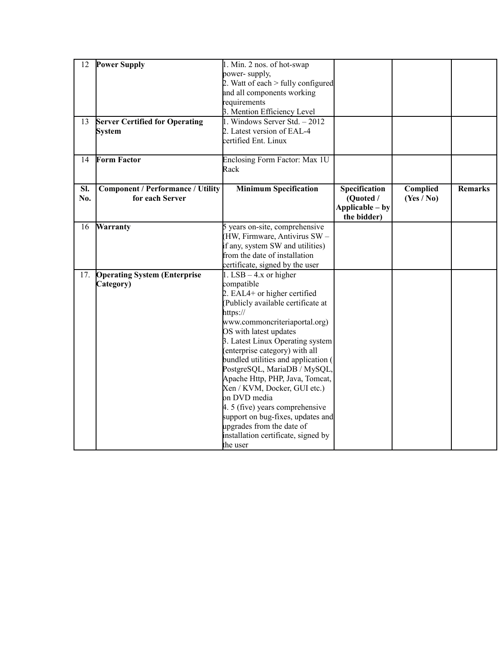| 12  | <b>Power Supply</b>                      | 1. Min. 2 nos. of hot-swap           |                 |            |                |
|-----|------------------------------------------|--------------------------------------|-----------------|------------|----------------|
|     |                                          | power-supply,                        |                 |            |                |
|     |                                          | 2. Watt of each $>$ fully configured |                 |            |                |
|     |                                          | and all components working           |                 |            |                |
|     |                                          | requirements                         |                 |            |                |
|     |                                          | 3. Mention Efficiency Level          |                 |            |                |
| 13  | <b>Server Certified for Operating</b>    | 1. Windows Server Std. - 2012        |                 |            |                |
|     | <b>System</b>                            | 2. Latest version of EAL-4           |                 |            |                |
|     |                                          | certified Ent. Linux                 |                 |            |                |
|     |                                          |                                      |                 |            |                |
| 14  | <b>Form Factor</b>                       | Enclosing Form Factor: Max 1U        |                 |            |                |
|     |                                          | Rack                                 |                 |            |                |
|     |                                          |                                      |                 |            |                |
| SI. | <b>Component / Performance / Utility</b> | <b>Minimum Specification</b>         | Specification   | Complied   | <b>Remarks</b> |
| No. | for each Server                          |                                      | (Quoted /       | (Yes / No) |                |
|     |                                          |                                      | Applicable – by |            |                |
|     |                                          |                                      | the bidder)     |            |                |
| 16  | <b>Warranty</b>                          | 5 years on-site, comprehensive       |                 |            |                |
|     |                                          | HW, Firmware, Antivirus SW-          |                 |            |                |
|     |                                          | if any, system SW and utilities)     |                 |            |                |
|     |                                          | from the date of installation        |                 |            |                |
|     |                                          | certificate, signed by the user      |                 |            |                |
| 17. | <b>Operating System (Enterprise</b>      | 1. LSB $-$ 4.x or higher             |                 |            |                |
|     | Category)                                | compatible                           |                 |            |                |
|     |                                          | 2. EAL4+ or higher certified         |                 |            |                |
|     |                                          | (Publicly available certificate at   |                 |            |                |
|     |                                          | https://                             |                 |            |                |
|     |                                          | www.commoncriteriaportal.org)        |                 |            |                |
|     |                                          | OS with latest updates               |                 |            |                |
|     |                                          | 3. Latest Linux Operating system     |                 |            |                |
|     |                                          | (enterprise category) with all       |                 |            |                |
|     |                                          | bundled utilities and application (  |                 |            |                |
|     |                                          |                                      |                 |            |                |
|     |                                          | PostgreSQL, MariaDB / MySQL,         |                 |            |                |
|     |                                          | Apache Http, PHP, Java, Tomcat,      |                 |            |                |
|     |                                          | Xen / KVM, Docker, GUI etc.)         |                 |            |                |
|     |                                          | on DVD media                         |                 |            |                |
|     |                                          | 4. 5 (five) years comprehensive      |                 |            |                |
|     |                                          | support on bug-fixes, updates and    |                 |            |                |
|     |                                          | upgrades from the date of            |                 |            |                |
|     |                                          | installation certificate, signed by  |                 |            |                |
|     |                                          | the user                             |                 |            |                |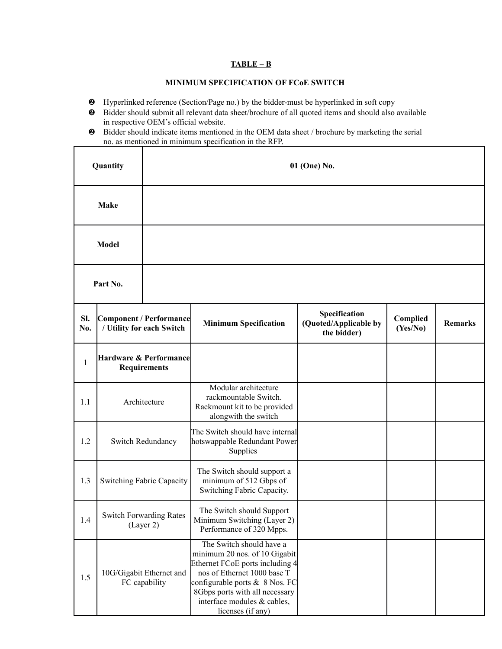# **TABLE – B**

## **MINIMUM SPECIFICATION OF FCoE SWITCH**

Hyperlinked reference (Section/Page no.) by the bidder-must be hyperlinked in soft copy

 $\Gamma$ 

- Bidder should submit all relevant data sheet/brochure of all quoted items and should also available in respective OEM's official website.
- Bidder should indicate items mentioned in the OEM data sheet / brochure by marketing the serial no. as mentioned in minimum specification in the RFP.

| Quantity     |                                                      | 01 (One) No.                              |                                                                                                                                                                                                                                                        |                                                       |                      |                |
|--------------|------------------------------------------------------|-------------------------------------------|--------------------------------------------------------------------------------------------------------------------------------------------------------------------------------------------------------------------------------------------------------|-------------------------------------------------------|----------------------|----------------|
|              | <b>Make</b>                                          |                                           |                                                                                                                                                                                                                                                        |                                                       |                      |                |
|              | <b>Model</b>                                         |                                           |                                                                                                                                                                                                                                                        |                                                       |                      |                |
|              | Part No.                                             |                                           |                                                                                                                                                                                                                                                        |                                                       |                      |                |
| SI.<br>No.   | Component / Performance<br>/ Utility for each Switch |                                           | <b>Minimum Specification</b>                                                                                                                                                                                                                           | Specification<br>(Quoted/Applicable by<br>the bidder) | Complied<br>(Yes/No) | <b>Remarks</b> |
| $\mathbf{1}$ | Hardware & Performance<br><b>Requirements</b>        |                                           |                                                                                                                                                                                                                                                        |                                                       |                      |                |
| 1.1          | Architecture                                         |                                           | Modular architecture<br>rackmountable Switch.<br>Rackmount kit to be provided<br>alongwith the switch                                                                                                                                                  |                                                       |                      |                |
| 1.2          | Switch Redundancy                                    |                                           | The Switch should have internal<br>hotswappable Redundant Power<br>Supplies                                                                                                                                                                            |                                                       |                      |                |
| 1.3          | <b>Switching Fabric Capacity</b>                     |                                           | The Switch should support a<br>minimum of 512 Gbps of<br>Switching Fabric Capacity.                                                                                                                                                                    |                                                       |                      |                |
| 1.4          | <b>Switch Forwarding Rates</b><br>(Layer 2)          |                                           | The Switch should Support<br>Minimum Switching (Layer 2)<br>Performance of 320 Mpps.                                                                                                                                                                   |                                                       |                      |                |
| 1.5          |                                                      | 10G/Gigabit Ethernet and<br>FC capability | The Switch should have a<br>minimum 20 nos. of 10 Gigabit<br>Ethernet FCoE ports including 4<br>nos of Ethernet 1000 base T<br>configurable ports $\&$ 8 Nos. FC<br>8Gbps ports with all necessary<br>interface modules & cables,<br>licenses (if any) |                                                       |                      |                |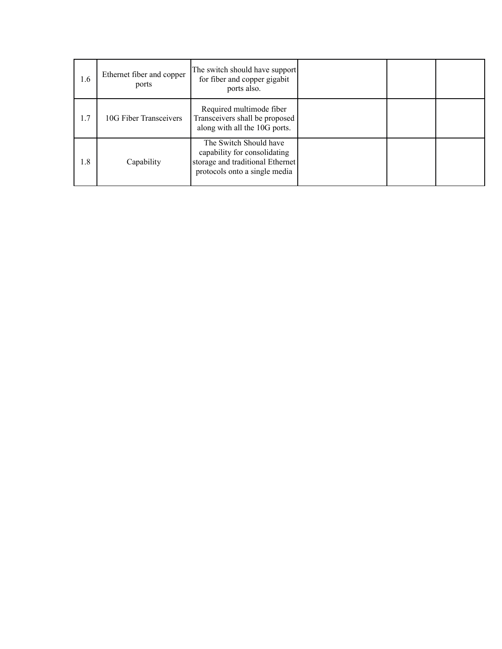| 1.6 | Ethernet fiber and copper<br>ports | The switch should have support<br>for fiber and copper gigabit<br>ports also.                                               |  |  |
|-----|------------------------------------|-----------------------------------------------------------------------------------------------------------------------------|--|--|
| 1.7 | 10G Fiber Transceivers             | Required multimode fiber<br>Transceivers shall be proposed<br>along with all the 10G ports.                                 |  |  |
| 1.8 | Capability                         | The Switch Should have<br>capability for consolidating<br>storage and traditional Ethernet<br>protocols onto a single media |  |  |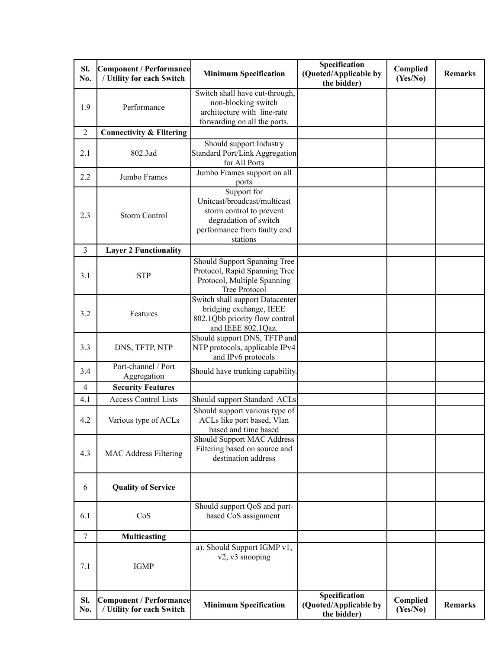| SI.<br>No.     | Component / Performance<br>/ Utility for each Switch | <b>Minimum Specification</b>                                                                                                                | Specification<br>(Quoted/Applicable by<br>the bidder) | Complied<br>(Yes/No) | <b>Remarks</b> |
|----------------|------------------------------------------------------|---------------------------------------------------------------------------------------------------------------------------------------------|-------------------------------------------------------|----------------------|----------------|
| 1.9            | Performance                                          | Switch shall have cut-through,<br>non-blocking switch<br>architecture with line-rate<br>forwarding on all the ports.                        |                                                       |                      |                |
| $\overline{2}$ | <b>Connectivity &amp; Filtering</b>                  |                                                                                                                                             |                                                       |                      |                |
| 2.1            | 802.3ad                                              | Should support Industry<br><b>Standard Port/Link Aggregation</b><br>for All Ports                                                           |                                                       |                      |                |
| 2.2            | Jumbo Frames                                         | Jumbo Frames support on all<br>ports                                                                                                        |                                                       |                      |                |
| 2.3            | <b>Storm Control</b>                                 | Support for<br>Unitcast/broadcast/multicast<br>storm control to prevent<br>degradation of switch<br>performance from faulty end<br>stations |                                                       |                      |                |
| 3              | <b>Layer 2 Functionality</b>                         |                                                                                                                                             |                                                       |                      |                |
| 3.1            | <b>STP</b>                                           | Should Support Spanning Tree<br>Protocol, Rapid Spanning Tree<br>Protocol, Multiple Spanning<br><b>Tree Protocol</b>                        |                                                       |                      |                |
| 3.2            | Features                                             | Switch shall support Datacenter<br>bridging exchange, IEEE<br>802.1Qbb priority flow control<br>and IEEE 802.1Qaz.                          |                                                       |                      |                |
| 3.3            | DNS, TFTP, NTP                                       | Should support DNS, TFTP and<br>NTP protocols, applicable IPv4<br>and IPv6 protocols                                                        |                                                       |                      |                |
| 3.4            | Port-channel / Port<br>Aggregation                   | Should have trunking capability.                                                                                                            |                                                       |                      |                |
| 4              | <b>Security Features</b>                             |                                                                                                                                             |                                                       |                      |                |
| 4.1            | <b>Access Control Lists</b>                          | Should support Standard ACLs                                                                                                                |                                                       |                      |                |
| 4.2            | Various type of ACLs                                 | Should support various type of<br>ACLs like port based, Vlan<br>based and time based                                                        |                                                       |                      |                |
| 4.3            | MAC Address Filtering                                | Should Support MAC Address<br>Filtering based on source and<br>destination address                                                          |                                                       |                      |                |
| 6              | <b>Quality of Service</b>                            |                                                                                                                                             |                                                       |                      |                |
| 6.1            | CoS                                                  | Should support QoS and port-<br>based CoS assignment                                                                                        |                                                       |                      |                |
| $\tau$         | <b>Multicasting</b>                                  |                                                                                                                                             |                                                       |                      |                |
| 7.1            | <b>IGMP</b>                                          | a). Should Support IGMP v1,<br>v2, v3 snooping                                                                                              |                                                       |                      |                |
| SI.<br>No.     | Component / Performance<br>/ Utility for each Switch | <b>Minimum Specification</b>                                                                                                                | Specification<br>(Quoted/Applicable by<br>the bidder) | Complied<br>(Yes/No) | <b>Remarks</b> |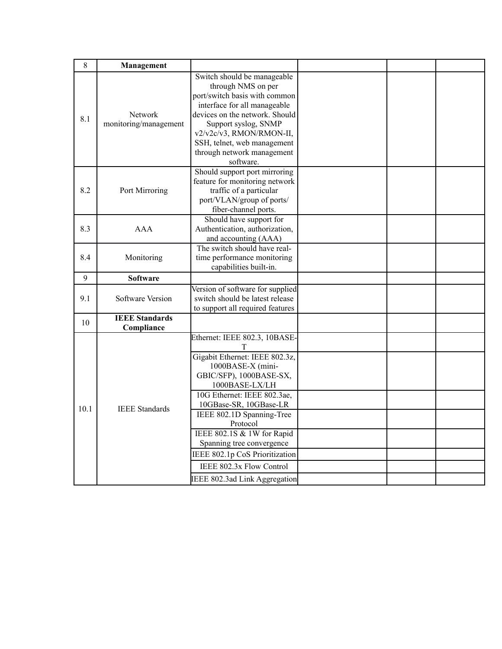| 8    | Management                          |                                                                                                                                                                                                                                                                                                                                                                                                    |  |  |
|------|-------------------------------------|----------------------------------------------------------------------------------------------------------------------------------------------------------------------------------------------------------------------------------------------------------------------------------------------------------------------------------------------------------------------------------------------------|--|--|
| 8.1  | Network<br>monitoring/management    | Switch should be manageable<br>through NMS on per<br>port/switch basis with common<br>interface for all manageable<br>devices on the network. Should<br>Support syslog, SNMP<br>v2/v2c/v3, RMON/RMON-II,<br>SSH, telnet, web management<br>through network management<br>software.                                                                                                                 |  |  |
| 8.2  | Port Mirroring                      | Should support port mirroring<br>feature for monitoring network<br>traffic of a particular<br>port/VLAN/group of ports/<br>fiber-channel ports.                                                                                                                                                                                                                                                    |  |  |
| 8.3  | AAA                                 | Should have support for<br>Authentication, authorization,<br>and accounting (AAA)                                                                                                                                                                                                                                                                                                                  |  |  |
| 8.4  | Monitoring                          | The switch should have real-<br>time performance monitoring<br>capabilities built-in.                                                                                                                                                                                                                                                                                                              |  |  |
| 9    | <b>Software</b>                     |                                                                                                                                                                                                                                                                                                                                                                                                    |  |  |
| 9.1  | Software Version                    | Version of software for supplied<br>switch should be latest release<br>to support all required features                                                                                                                                                                                                                                                                                            |  |  |
| 10   | <b>IEEE Standards</b><br>Compliance |                                                                                                                                                                                                                                                                                                                                                                                                    |  |  |
| 10.1 | <b>IEEE</b> Standards               | Ethernet: IEEE 802.3, 10BASE-<br>T<br>Gigabit Ethernet: IEEE 802.3z,<br>1000BASE-X (mini-<br>GBIC/SFP), 1000BASE-SX,<br>1000BASE-LX/LH<br>10G Ethernet: IEEE 802.3ae,<br>10GBase-SR, 10GBase-LR<br>IEEE 802.1D Spanning-Tree<br>Protocol<br>IEEE 802.1S & 1W for Rapid<br>Spanning tree convergence<br>IEEE 802.1p CoS Prioritization<br>IEEE 802.3x Flow Control<br>IEEE 802.3ad Link Aggregation |  |  |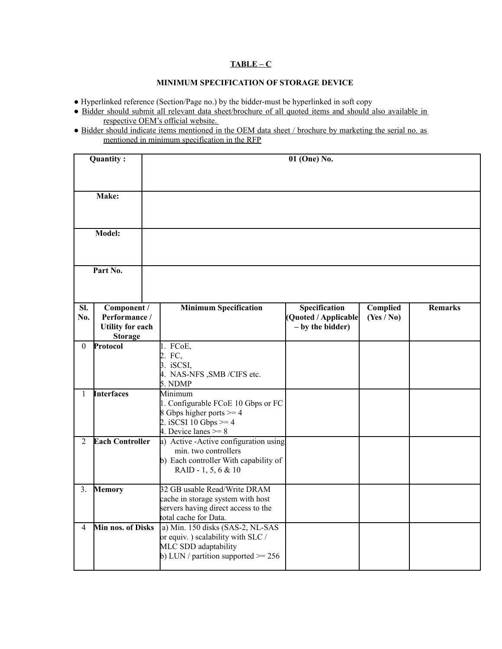# **TABLE – C**

## **MINIMUM SPECIFICATION OF STORAGE DEVICE**

- Hyperlinked reference (Section/Page no.) by the bidder-must be hyperlinked in soft copy
- Bidder should submit all relevant data sheet/brochure of all quoted items and should also available in respective OEM's official website.
- Bidder should indicate items mentioned in the OEM data sheet / brochure by marketing the serial no. as mentioned in minimum specification in the RFP

|                                   | Quantity:                                                                 |                                                                                                                                             | 01 (One) No.                                              |                        |                |
|-----------------------------------|---------------------------------------------------------------------------|---------------------------------------------------------------------------------------------------------------------------------------------|-----------------------------------------------------------|------------------------|----------------|
|                                   | Make:                                                                     |                                                                                                                                             |                                                           |                        |                |
|                                   | Model:                                                                    |                                                                                                                                             |                                                           |                        |                |
| Part No.                          |                                                                           |                                                                                                                                             |                                                           |                        |                |
| Sl.<br>No.                        | Component /<br>Performance /<br><b>Utility for each</b><br><b>Storage</b> | <b>Minimum Specification</b>                                                                                                                | Specification<br>(Quoted / Applicable<br>- by the bidder) | Complied<br>(Yes / No) | <b>Remarks</b> |
| $\theta$                          | Protocol                                                                  | 1. FCoE,<br>2. FC,<br>3. iSCSI,<br>4. NAS-NFS , SMB / CIFS etc.<br>5. NDMP                                                                  |                                                           |                        |                |
| <b>Interfaces</b><br>$\mathbf{1}$ |                                                                           | Minimum<br>1. Configurable FCoE 10 Gbps or FC<br>8 Gbps higher ports $>= 4$<br>2. iSCSI 10 Gbps $>= 4$<br>4. Device lanes $>= 8$            |                                                           |                        |                |
| <b>Each Controller</b><br>2       |                                                                           | a) Active - Active configuration using<br>min. two controllers<br>b) Each controller With capability of<br>RAID - 1, 5, 6 & 10              |                                                           |                        |                |
| 3.                                | Memory                                                                    | 32 GB usable Read/Write DRAM<br>cache in storage system with host<br>servers having direct access to the<br>total cache for Data.           |                                                           |                        |                |
| $\overline{4}$                    | Min nos. of Disks                                                         | a) Min. 150 disks (SAS-2, NL-SAS<br>or equiv. ) scalability with $SLC/$<br>MLC SDD adaptability<br>b) LUN / partition supported $\ge$ = 256 |                                                           |                        |                |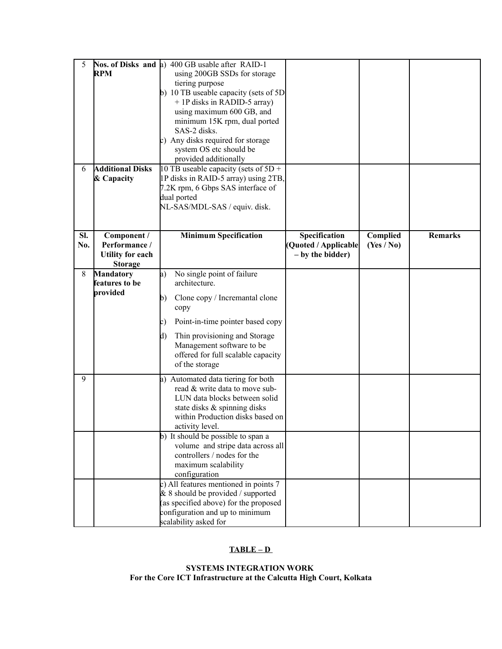| 5<br>6     | <b>RPM</b><br><b>Additional Disks</b><br>& Capacity                       | Nos. of Disks and a) 400 GB usable after RAID-1<br>using 200GB SSDs for storage<br>tiering purpose<br>b) 10 TB useable capacity (sets of $5D$<br>+ 1P disks in RADID-5 array)<br>using maximum 600 GB, and<br>minimum 15K rpm, dual ported<br>SAS-2 disks.<br>c) Any disks required for storage<br>system OS etc should be<br>provided additionally<br>10 TB useable capacity (sets of $5D +$<br>1P disks in RAID-5 array) using 2TB,<br>7.2K rpm, 6 Gbps SAS interface of |                                                           |                        |                |
|------------|---------------------------------------------------------------------------|----------------------------------------------------------------------------------------------------------------------------------------------------------------------------------------------------------------------------------------------------------------------------------------------------------------------------------------------------------------------------------------------------------------------------------------------------------------------------|-----------------------------------------------------------|------------------------|----------------|
|            |                                                                           | dual ported<br>NL-SAS/MDL-SAS / equiv. disk.                                                                                                                                                                                                                                                                                                                                                                                                                               |                                                           |                        |                |
| SI.<br>No. | Component /<br>Performance /<br><b>Utility for each</b><br><b>Storage</b> | <b>Minimum Specification</b>                                                                                                                                                                                                                                                                                                                                                                                                                                               | Specification<br>(Quoted / Applicable<br>- by the bidder) | Complied<br>(Yes / No) | <b>Remarks</b> |
| 8          | <b>Mandatory</b><br>features to be<br>provided                            | No single point of failure<br>a)<br>architecture.<br>Clone copy / Incremantal clone<br>b)<br>copy<br>Point-in-time pointer based copy<br>c)<br>Thin provisioning and Storage<br>$\mathbf{d}$<br>Management software to be<br>offered for full scalable capacity<br>of the storage                                                                                                                                                                                          |                                                           |                        |                |
| 9          |                                                                           | a) Automated data tiering for both<br>read & write data to move sub-<br>LUN data blocks between solid<br>state disks & spinning disks<br>within Production disks based on<br>activity level.<br>b) It should be possible to span a<br>volume and stripe data across all<br>controllers / nodes for the<br>maximum scalability<br>configuration                                                                                                                             |                                                           |                        |                |
|            |                                                                           | c) All features mentioned in points 7<br>$& 8$ should be provided / supported<br>(as specified above) for the proposed<br>configuration and up to minimum<br>scalability asked for                                                                                                                                                                                                                                                                                         |                                                           |                        |                |

# **TABLE – D**

**SYSTEMS INTEGRATION WORK For the Core ICT Infrastructure at the Calcutta High Court, Kolkata**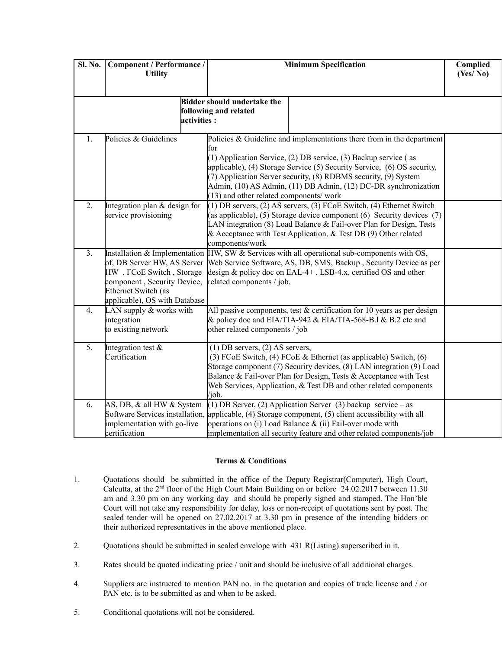| Sl. No. | Component / Performance /<br><b>Utility</b>                                                                                                                                     |                                                             | <b>Minimum Specification</b>                                                                                                                                                                                                                                                                                                                                | Complied<br>(Yes/No) |  |
|---------|---------------------------------------------------------------------------------------------------------------------------------------------------------------------------------|-------------------------------------------------------------|-------------------------------------------------------------------------------------------------------------------------------------------------------------------------------------------------------------------------------------------------------------------------------------------------------------------------------------------------------------|----------------------|--|
|         | <b>lactivities :</b>                                                                                                                                                            | <b>Bidder should undertake the</b><br>following and related |                                                                                                                                                                                                                                                                                                                                                             |                      |  |
| 1.      | Policies & Guidelines                                                                                                                                                           | for<br>(13) and other related components/ work              | Policies $& Guideline$ and implementations there from in the department<br>(1) Application Service, (2) DB service, (3) Backup service (as<br>applicable), (4) Storage Service (5) Security Service, (6) OS security,<br>(7) Application Server security, (8) RDBMS security, (9) System<br>Admin, (10) AS Admin, (11) DB Admin, (12) DC-DR synchronization |                      |  |
| 2.      | Integration plan $&$ design for<br>service provisioning                                                                                                                         | components/work                                             | $(1)$ DB servers, $(2)$ AS servers, $(3)$ FCoE Switch, $(4)$ Ethernet Switch<br>(as applicable), (5) Storage device component (6) Security devices (7)<br>LAN integration (8) Load Balance & Fail-over Plan for Design, Tests<br>& Acceptance with Test Application, $\&$ Test DB (9) Other related                                                         |                      |  |
| 3.      | Installation & Implementation<br>of, DB Server HW, AS Server<br>HW, FCoE Switch, Storage<br>component, Security Device,<br>Ethernet Switch (as<br>applicable), OS with Database | related components / job.                                   | HW, SW & Services with all operational sub-components with OS,<br>Web Service Software, AS, DB, SMS, Backup, Security Device as per<br>design $\&$ policy doc on EAL-4+, LSB-4.x, certified OS and other                                                                                                                                                    |                      |  |
| 4.      | LAN supply $&$ works with<br>integration<br>to existing network                                                                                                                 | other related components / job                              | All passive components, test $\&$ certification for 10 years as per design<br>& policy doc and EIA/TIA-942 & EIA/TIA-568-B.1 & B.2 etc and                                                                                                                                                                                                                  |                      |  |
| 5.      | Integration test $\&$<br>Certification                                                                                                                                          | $(1)$ DB servers, $(2)$ AS servers,<br>/job.                | (3) FCoE Switch, (4) FCoE $&$ Ethernet (as applicable) Switch, (6)<br>Storage component (7) Security devices, (8) LAN integration (9) Load<br>Balance & Fail-over Plan for Design, Tests & Acceptance with Test<br>Web Services, Application, & Test DB and other related components                                                                        |                      |  |
| 6.      | AS, DB, & all HW & System<br>Software Services installation,<br>implementation with go-live<br>certification                                                                    |                                                             | (1) DB Server, (2) Application Server (3) backup service $-$ as<br>applicable, $(4)$ Storage component, $(5)$ client accessibility with all<br>operations on (i) Load Balance $\&$ (ii) Fail-over mode with<br>implementation all security feature and other related components/job                                                                         |                      |  |

### **Terms & Conditions**

- 1. Quotations should be submitted in the office of the Deputy Registrar(Computer), High Court, Calcutta, at the  $2<sup>nd</sup>$  floor of the High Court Main Building on or before 24.02.2017 between 11.30 am and 3.30 pm on any working day and should be properly signed and stamped. The Hon'ble Court will not take any responsibility for delay, loss or non-receipt of quotations sent by post. The sealed tender will be opened on 27.02.2017 at 3.30 pm in presence of the intending bidders or their authorized representatives in the above mentioned place.
- 2. Quotations should be submitted in sealed envelope with 431 R(Listing) superscribed in it.
- 3. Rates should be quoted indicating price / unit and should be inclusive of all additional charges.
- 4. Suppliers are instructed to mention PAN no. in the quotation and copies of trade license and / or PAN etc. is to be submitted as and when to be asked.
- 5. Conditional quotations will not be considered.